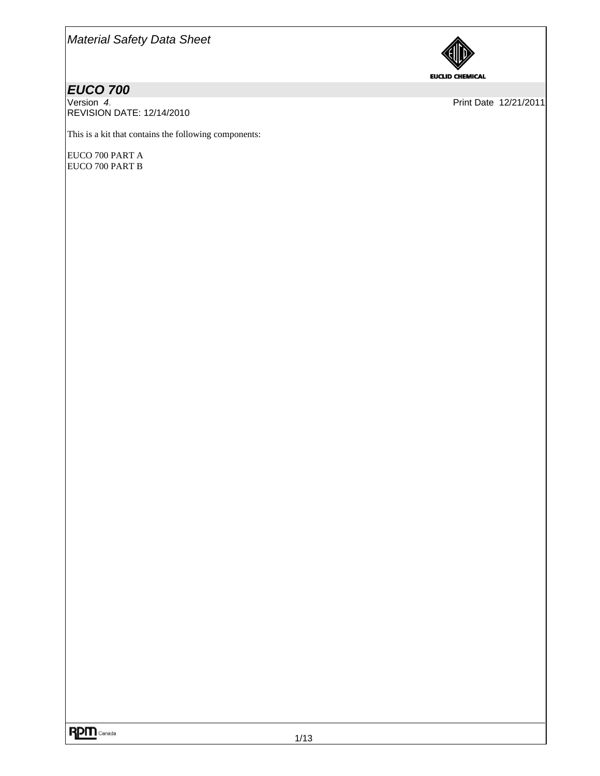

# *EUCO 700<br>Version 4.*

REVISION DATE: 12/14/2010

Print Date 12/21/2011

This is a kit that contains the following components:

EUCO 700 PART A EUCO 700 PART B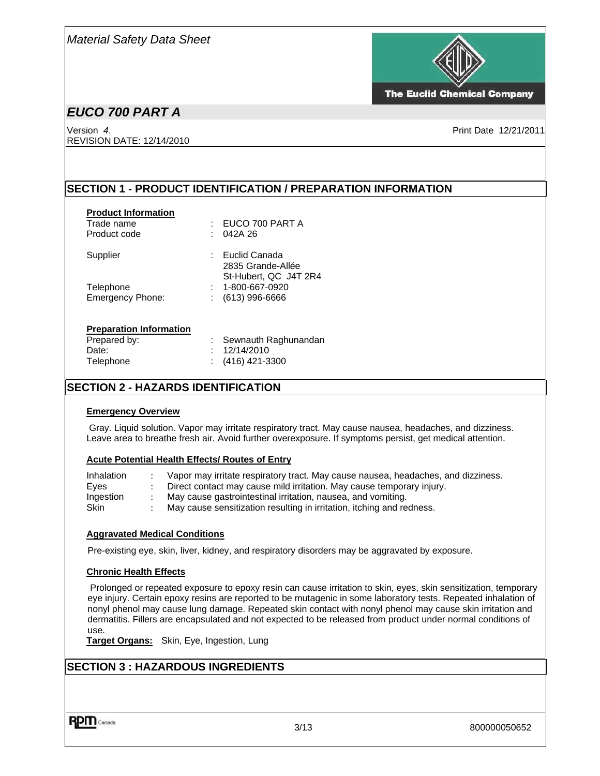

**The Euclid Chemical Company** 

# *EUCO 700 PART A*

Version *4*. Print Date 12/21/2011 REVISION DATE: 12/14/2010

### **SECTION 1 - PRODUCT IDENTIFICATION / PREPARATION INFORMATION**

| <b>Product Information</b><br>Trade name<br>Product code | EUCO 700 PART A<br>t<br>042A 26<br>t                          |
|----------------------------------------------------------|---------------------------------------------------------------|
| Supplier                                                 | : Euclid Canada<br>2835 Grande-Allée<br>St-Hubert, QC J4T 2R4 |
| Telephone                                                | 1-800-667-0920                                                |
| <b>Emergency Phone:</b>                                  | $(613)$ 996-6666<br>÷.                                        |
| <b>Preparation Information</b>                           |                                                               |
| Prepared by:                                             | Sewnauth Raghunandan                                          |
| Date:                                                    | 12/14/2010                                                    |
| Telephone                                                | (416) 421-3300                                                |

### **SECTION 2 - HAZARDS IDENTIFICATION**

#### **Emergency Overview**

Gray. Liquid solution. Vapor may irritate respiratory tract. May cause nausea, headaches, and dizziness. Leave area to breathe fresh air. Avoid further overexposure. If symptoms persist, get medical attention.

#### **Acute Potential Health Effects/ Routes of Entry**

| Inhalation  | Vapor may irritate respiratory tract. May cause nausea, headaches, and dizziness. |
|-------------|-----------------------------------------------------------------------------------|
| Eves        | Direct contact may cause mild irritation. May cause temporary injury.             |
| Ingestion   | May cause gastrointestinal irritation, nausea, and vomiting.                      |
| <b>Skin</b> | May cause sensitization resulting in irritation, itching and redness.             |

#### **Aggravated Medical Conditions**

Pre-existing eye, skin, liver, kidney, and respiratory disorders may be aggravated by exposure.

#### **Chronic Health Effects**

 Prolonged or repeated exposure to epoxy resin can cause irritation to skin, eyes, skin sensitization, temporary eye injury. Certain epoxy resins are reported to be mutagenic in some laboratory tests. Repeated inhalation of nonyl phenol may cause lung damage. Repeated skin contact with nonyl phenol may cause skin irritation and dermatitis. Fillers are encapsulated and not expected to be released from product under normal conditions of use.

**Target Organs:** Skin, Eye, Ingestion, Lung

### **SECTION 3 : HAZARDOUS INGREDIENTS**

**RPM** Canada

3/13 800000050652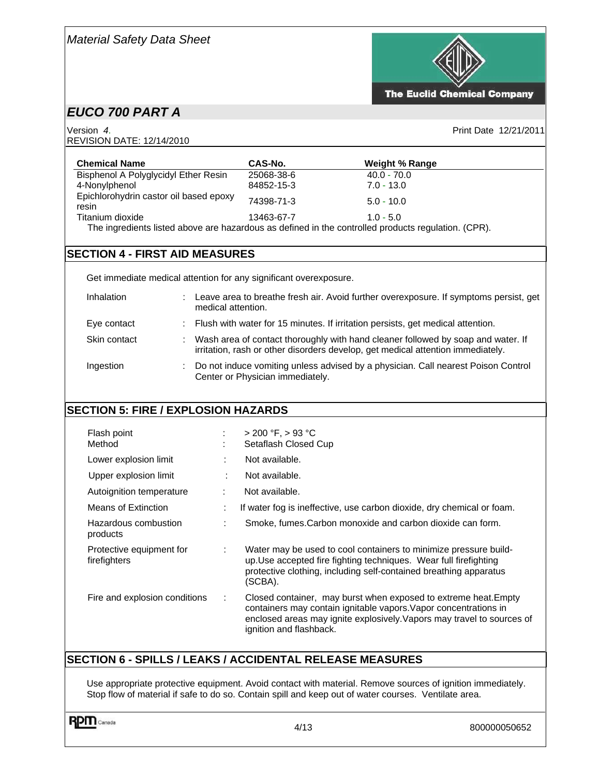

Version *4*. Print Date 12/21/2011 REVISION DATE: 12/14/2010



**The Euclid Chemical Company** 

| <b>Chemical Name</b>                                                                                | CAS-No.    | <b>Weight % Range</b> |
|-----------------------------------------------------------------------------------------------------|------------|-----------------------|
| Bisphenol A Polyglycidyl Ether Resin                                                                | 25068-38-6 | $40.0 - 70.0$         |
| 4-Nonylphenol                                                                                       | 84852-15-3 | $7.0 - 13.0$          |
| Epichlorohydrin castor oil based epoxy<br>resin                                                     | 74398-71-3 | $5.0 - 10.0$          |
| Titanium dioxide                                                                                    | 13463-67-7 | $1.0 - 5.0$           |
| The ingredients listed above are hazardous as defined in the controlled products regulation. (CPR). |            |                       |

### **SECTION 4 - FIRST AID MEASURES**

Get immediate medical attention for any significant overexposure.

| <b>Inhalation</b> | Leave area to breathe fresh air. Avoid further overexposure. If symptoms persist, get<br>medical attention.                                                         |
|-------------------|---------------------------------------------------------------------------------------------------------------------------------------------------------------------|
| Eye contact       | : Flush with water for 15 minutes. If irritation persists, get medical attention.                                                                                   |
| Skin contact      | Wash area of contact thoroughly with hand cleaner followed by soap and water. If<br>irritation, rash or other disorders develop, get medical attention immediately. |
| Ingestion         | Do not induce vomiting unless advised by a physician. Call nearest Poison Control<br>Center or Physician immediately.                                               |

### **SECTION 5: FIRE / EXPLOSION HAZARDS**

| Flash point<br>Method                    | ÷<br>٠<br>×.                  | $> 200 °F$ , $> 93 °C$<br>Setaflash Closed Cup                                                                                                                                                                                           |
|------------------------------------------|-------------------------------|------------------------------------------------------------------------------------------------------------------------------------------------------------------------------------------------------------------------------------------|
| Lower explosion limit                    | ÷                             | Not available.                                                                                                                                                                                                                           |
| Upper explosion limit                    |                               | Not available.                                                                                                                                                                                                                           |
| Autoignition temperature                 | ÷                             | Not available.                                                                                                                                                                                                                           |
| Means of Extinction                      | ÷                             | If water fog is ineffective, use carbon dioxide, dry chemical or foam.                                                                                                                                                                   |
| Hazardous combustion<br>products         | ٠<br>$\overline{\phantom{a}}$ | Smoke, fumes. Carbon monoxide and carbon dioxide can form.                                                                                                                                                                               |
| Protective equipment for<br>firefighters | ÷                             | Water may be used to cool containers to minimize pressure build-<br>up. Use accepted fire fighting techniques. Wear full firefighting<br>protective clothing, including self-contained breathing apparatus<br>(SCBA).                    |
| Fire and explosion conditions            | ÷                             | Closed container, may burst when exposed to extreme heat. Empty<br>containers may contain ignitable vapors. Vapor concentrations in<br>enclosed areas may ignite explosively. Vapors may travel to sources of<br>ignition and flashback. |

### **SECTION 6 - SPILLS / LEAKS / ACCIDENTAL RELEASE MEASURES**

Use appropriate protective equipment. Avoid contact with material. Remove sources of ignition immediately. Stop flow of material if safe to do so. Contain spill and keep out of water courses. Ventilate area.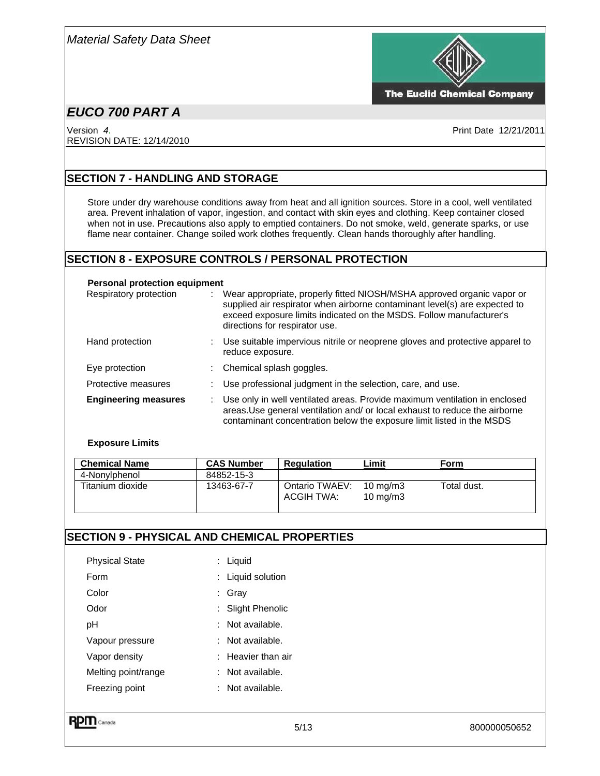

**The Euclid Chemical Company** 

# *EUCO 700 PART A*

Version *4*. Print Date 12/21/2011 REVISION DATE: 12/14/2010

### **SECTION 7 - HANDLING AND STORAGE**

Store under dry warehouse conditions away from heat and all ignition sources. Store in a cool, well ventilated area. Prevent inhalation of vapor, ingestion, and contact with skin eyes and clothing. Keep container closed when not in use. Precautions also apply to emptied containers. Do not smoke, weld, generate sparks, or use flame near container. Change soiled work clothes frequently. Clean hands thoroughly after handling.

### **SECTION 8 - EXPOSURE CONTROLS / PERSONAL PROTECTION**

#### **Personal protection equipment**

| Respiratory protection      |    | Wear appropriate, properly fitted NIOSH/MSHA approved organic vapor or<br>supplied air respirator when airborne contaminant level(s) are expected to<br>exceed exposure limits indicated on the MSDS. Follow manufacturer's<br>directions for respirator use. |
|-----------------------------|----|---------------------------------------------------------------------------------------------------------------------------------------------------------------------------------------------------------------------------------------------------------------|
| Hand protection             |    | Use suitable impervious nitrile or neoprene gloves and protective apparel to<br>reduce exposure.                                                                                                                                                              |
| Eye protection              |    | : Chemical splash goggles.                                                                                                                                                                                                                                    |
| Protective measures         |    | Use professional judgment in the selection, care, and use.                                                                                                                                                                                                    |
| <b>Engineering measures</b> | ÷. | Use only in well ventilated areas. Provide maximum ventilation in enclosed<br>areas. Use general ventilation and/ or local exhaust to reduce the airborne<br>contaminant concentration below the exposure limit listed in the MSDS                            |

#### **Exposure Limits**

| <b>Chemical Name</b> | <b>CAS Number</b> | <b>Regulation</b>            | Limit                                  | Form        |
|----------------------|-------------------|------------------------------|----------------------------------------|-------------|
| 4-Nonylphenol        | 84852-15-3        |                              |                                        |             |
| Titanium dioxide     | 13463-67-7        | Ontario TWAEV:<br>ACGIH TWA: | $10 \text{ mg/m}$<br>$10 \text{ mg/m}$ | Total dust. |

### **SECTION 9 - PHYSICAL AND CHEMICAL PROPERTIES**

|                       | 5/13                          | 800000050652 |
|-----------------------|-------------------------------|--------------|
| Freezing point        | : Not available.              |              |
| Melting point/range   | $:$ Not available.            |              |
| Vapor density         | $\therefore$ Heavier than air |              |
| Vapour pressure       | : Not available.              |              |
| pH                    | : Not available.              |              |
| Odor                  | : Slight Phenolic             |              |
| Color                 | : Gray                        |              |
| Form                  | : Liquid solution             |              |
| <b>Physical State</b> | : Liquid                      |              |
|                       | RP<br>Canada                  |              |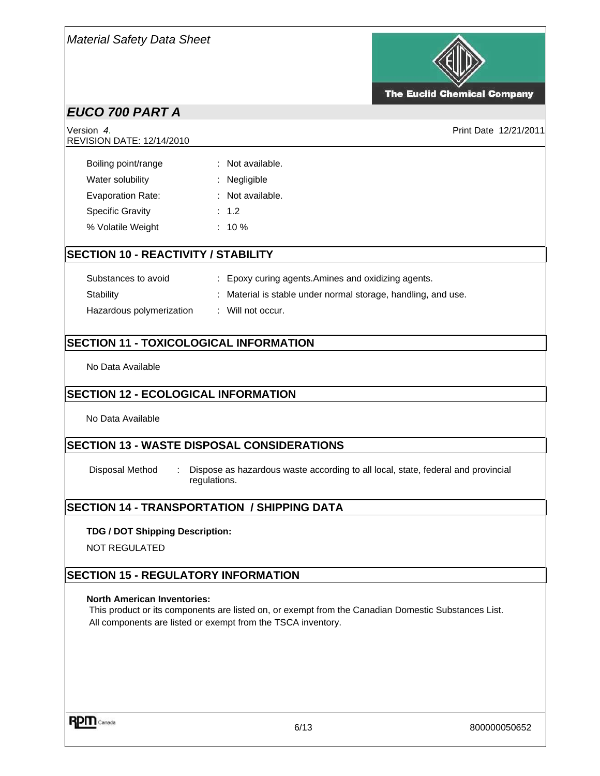

**The Euclid Chemical Company** 

Print Date 12/21/2011

# *EUCO 700 PART A*

| $V$ ersion 4.<br><b>REVISION DATE: 12/14/2010</b> |                             |  |
|---------------------------------------------------|-----------------------------|--|
| Boiling point/range                               | $:$ Not available.          |  |
| Water solubility                                  | Negligible<br>t.            |  |
| Evaporation Rate:                                 | $:$ Not available.<br>: 1.2 |  |
| <b>Specific Gravity</b><br>% Volatile Weight      | $: 10 \%$                   |  |
|                                                   |                             |  |

### **SECTION 10 - REACTIVITY / STABILITY**

| Substances to avoid      | : Epoxy curing agents. Amines and oxidizing agents.         |
|--------------------------|-------------------------------------------------------------|
| <b>Stability</b>         | Material is stable under normal storage, handling, and use. |
| Hazardous polymerization | : Will not occur.                                           |

### **SECTION 11 - TOXICOLOGICAL INFORMATION**

No Data Available

### **SECTION 12 - ECOLOGICAL INFORMATION**

No Data Available

### **SECTION 13 - WASTE DISPOSAL CONSIDERATIONS**

Disposal Method : Dispose as hazardous waste according to all local, state, federal and provincial regulations.

### **SECTION 14 - TRANSPORTATION / SHIPPING DATA**

#### **TDG / DOT Shipping Description:**

NOT REGULATED

### **SECTION 15 - REGULATORY INFORMATION**

#### **North American Inventories:**

 This product or its components are listed on, or exempt from the Canadian Domestic Substances List. All components are listed or exempt from the TSCA inventory.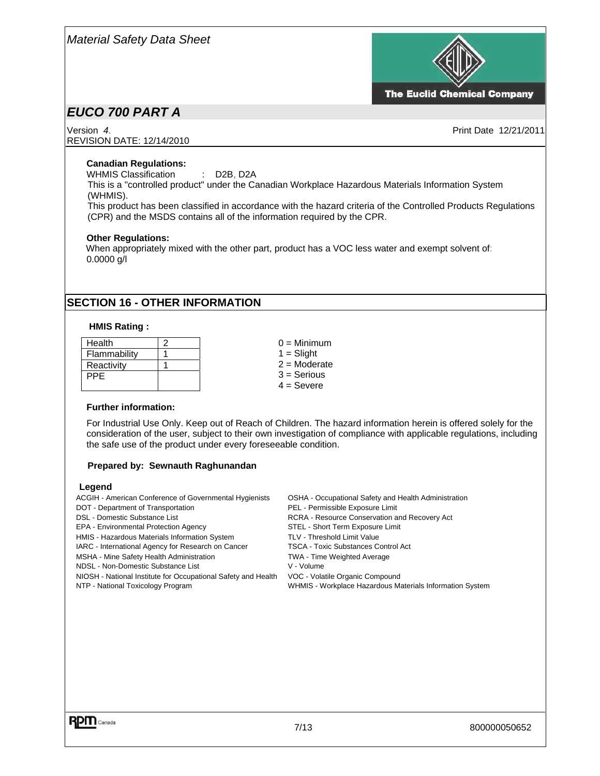

**The Euclid Chemical Company** 

# *EUCO 700 PART A*

REVISION DATE: 12/14/2010

Version *4*. Print Date 12/21/2011

#### **Canadian Regulations:**

WHMIS Classification : D2B, D2A

This is a "controlled product" under the Canadian Workplace Hazardous Materials Information System (WHMIS).

This product has been classified in accordance with the hazard criteria of the Controlled Products Regulations (CPR) and the MSDS contains all of the information required by the CPR.

#### **Other Regulations:**

 When appropriately mixed with the other part, product has a VOC less water and exempt solvent of: 0.0000 g/l

### **SECTION 16 - OTHER INFORMATION**

#### **HMIS Rating :**

| Health       |  |
|--------------|--|
| Flammability |  |
| Reactivity   |  |
| PPE          |  |
|              |  |

 $0 =$  Minimum  $1 =$  Slight 2 = Moderate 3 = Serious  $4 =$ Severe

#### **Further information:**

For Industrial Use Only. Keep out of Reach of Children. The hazard information herein is offered solely for the consideration of the user, subject to their own investigation of compliance with applicable regulations, including the safe use of the product under every foreseeable condition.

#### **Prepared by: Sewnauth Raghunandan**

#### **Legend**

ACGIH - American Conference of Governmental Hygienists OSHA - Occupational Safety and Health Administration DOT - Department of Transportation **PEL - Permissible Exposure Limit** DSL - Domestic Substance List **RUP III CONSET RECOVER ACT RESOURCE CONSERVATION** RCRA - Resource Conservation and Recovery Act EPA - Environmental Protection Agency STEL - Short Term Exposure Limit HMIS - Hazardous Materials Information System TLV - Threshold Limit Value IARC - International Agency for Research on Cancer TSCA - Toxic Substances Control Act MSHA - Mine Safety Health Administration TWA - Time Weighted Average NDSL - Non-Domestic Substance List V - Volume NIOSH - National Institute for Occupational Safety and Health VOC - Volatile Organic Compound NTP - National Toxicology Program WHMIS - Workplace Hazardous Materials Information System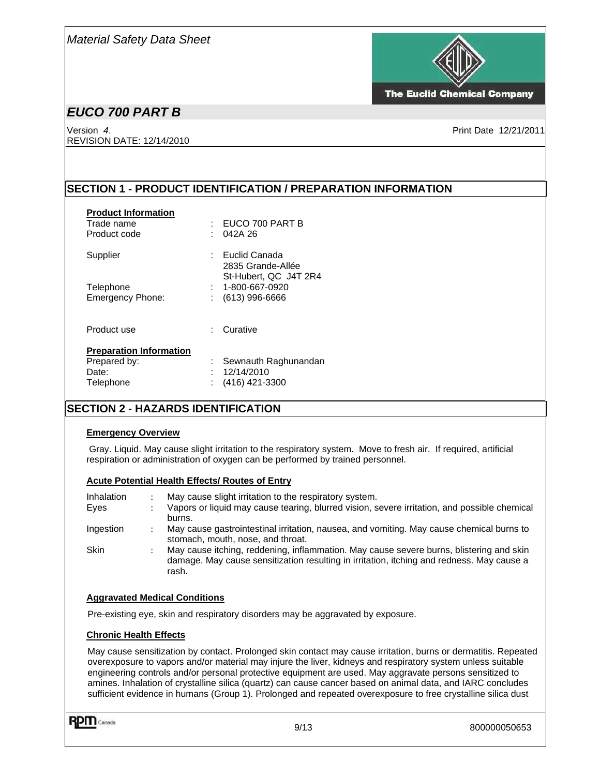

**The Euclid Chemical Company** 

# *EUCO 700 PART B*

Version *4*. Print Date 12/21/2011 REVISION DATE: 12/14/2010

### **SECTION 1 - PRODUCT IDENTIFICATION / PREPARATION INFORMATION**

| <b>Product Information</b><br>Trade name<br>Product code | EUCO 700 PART B<br>042A 26                                    |
|----------------------------------------------------------|---------------------------------------------------------------|
| Supplier                                                 | - Euclid Canada<br>2835 Grande-Allée<br>St-Hubert, QC J4T 2R4 |
| Telephone                                                | 1-800-667-0920                                                |
| <b>Emergency Phone:</b>                                  | : (613) 996-6666                                              |
| Product use                                              | Curative<br>۰.                                                |
| <b>Preparation Information</b>                           |                                                               |
| Prepared by:                                             | Sewnauth Raghunandan                                          |
| Date:                                                    | 12/14/2010                                                    |
| Telephone                                                | (416) 421-3300                                                |

### **SECTION 2 - HAZARDS IDENTIFICATION**

#### **Emergency Overview**

Gray. Liquid. May cause slight irritation to the respiratory system. Move to fresh air. If required, artificial respiration or administration of oxygen can be performed by trained personnel.

#### **Acute Potential Health Effects/ Routes of Entry**

| Inhalation<br>Eves | May cause slight irritation to the respiratory system.<br>Vapors or liquid may cause tearing, blurred vision, severe irritation, and possible chemical<br>burns.                              |
|--------------------|-----------------------------------------------------------------------------------------------------------------------------------------------------------------------------------------------|
| Ingestion          | May cause gastrointestinal irritation, nausea, and vomiting. May cause chemical burns to<br>stomach, mouth, nose, and throat.                                                                 |
| <b>Skin</b>        | May cause itching, reddening, inflammation. May cause severe burns, blistering and skin<br>damage. May cause sensitization resulting in irritation, itching and redness. May cause a<br>rash. |

#### **Aggravated Medical Conditions**

Pre-existing eye, skin and respiratory disorders may be aggravated by exposure.

#### **Chronic Health Effects**

May cause sensitization by contact. Prolonged skin contact may cause irritation, burns or dermatitis. Repeated overexposure to vapors and/or material may injure the liver, kidneys and respiratory system unless suitable engineering controls and/or personal protective equipment are used. May aggravate persons sensitized to amines. Inhalation of crystalline silica (quartz) can cause cancer based on animal data, and IARC concludes sufficient evidence in humans (Group 1). Prolonged and repeated overexposure to free crystalline silica dust

**RPM** Canada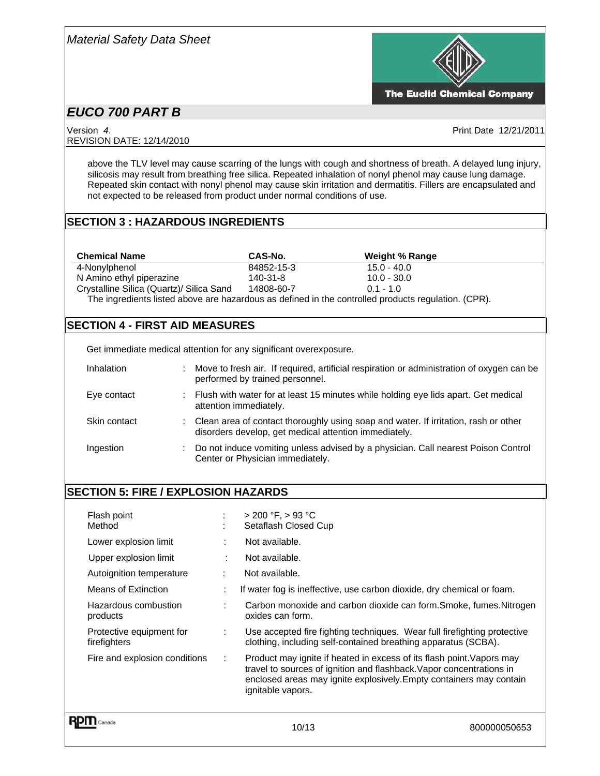

The Euclid Chemical Company

# *EUCO 700 PART B*

Version *4*. Print Date 12/21/2011 REVISION DATE: 12/14/2010

above the TLV level may cause scarring of the lungs with cough and shortness of breath. A delayed lung injury, silicosis may result from breathing free silica. Repeated inhalation of nonyl phenol may cause lung damage. Repeated skin contact with nonyl phenol may cause skin irritation and dermatitis. Fillers are encapsulated and not expected to be released from product under normal conditions of use.

### **SECTION 3 : HAZARDOUS INGREDIENTS**

| <b>Chemical Name</b>                                                                                | CAS-No.    | Weight % Range |  |  |
|-----------------------------------------------------------------------------------------------------|------------|----------------|--|--|
| 4-Nonylphenol                                                                                       | 84852-15-3 | $15.0 - 40.0$  |  |  |
| N Amino ethyl piperazine                                                                            | 140-31-8   | $10.0 - 30.0$  |  |  |
| Crystalline Silica (Quartz)/ Silica Sand                                                            | 14808-60-7 | $01 - 10$      |  |  |
| The ingredients listed above are hazardous as defined in the controlled products regulation. (CPR). |            |                |  |  |

### **SECTION 4 - FIRST AID MEASURES**

Get immediate medical attention for any significant overexposure.

| Inhalation   |   | Move to fresh air. If required, artificial respiration or administration of oxygen can be<br>performed by trained personnel.                   |
|--------------|---|------------------------------------------------------------------------------------------------------------------------------------------------|
| Eye contact  | ÷ | Flush with water for at least 15 minutes while holding eye lids apart. Get medical<br>attention immediately.                                   |
| Skin contact |   | : Clean area of contact thoroughly using soap and water. If irritation, rash or other<br>disorders develop, get medical attention immediately. |
| Ingestion    | ÷ | Do not induce vomiting unless advised by a physician. Call nearest Poison Control<br>Center or Physician immediately.                          |

### **SECTION 5: FIRE / EXPLOSION HAZARDS**

| Flash point<br>Method                    | ÷<br>٠    | $> 200 °F$ , $> 93 °C$<br>Setaflash Closed Cup                                                                                                                                                                                            |
|------------------------------------------|-----------|-------------------------------------------------------------------------------------------------------------------------------------------------------------------------------------------------------------------------------------------|
| Lower explosion limit                    | ÷         | Not available.                                                                                                                                                                                                                            |
| Upper explosion limit                    | $\bullet$ | Not available.                                                                                                                                                                                                                            |
| Autoignition temperature                 | ÷         | Not available.                                                                                                                                                                                                                            |
| <b>Means of Extinction</b>               | ÷         | If water fog is ineffective, use carbon dioxide, dry chemical or foam.                                                                                                                                                                    |
| Hazardous combustion<br>products         | ÷         | Carbon monoxide and carbon dioxide can form.Smoke, fumes.Nitrogen<br>oxides can form.                                                                                                                                                     |
| Protective equipment for<br>firefighters | ÷         | Use accepted fire fighting techniques. Wear full firefighting protective<br>clothing, including self-contained breathing apparatus (SCBA).                                                                                                |
| Fire and explosion conditions            | ÷         | Product may ignite if heated in excess of its flash point. Vapors may<br>travel to sources of ignition and flashback. Vapor concentrations in<br>enclosed areas may ignite explosively. Empty containers may contain<br>ignitable vapors. |
|                                          |           |                                                                                                                                                                                                                                           |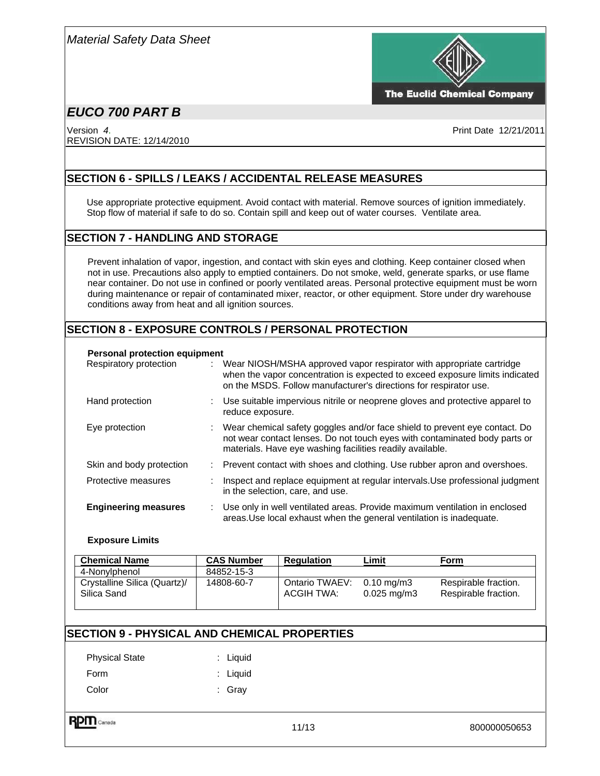

**The Euclid Chemical Company** 

# *EUCO 700 PART B*

Version *4*. Print Date 12/21/2011 REVISION DATE: 12/14/2010

### **SECTION 6 - SPILLS / LEAKS / ACCIDENTAL RELEASE MEASURES**

Use appropriate protective equipment. Avoid contact with material. Remove sources of ignition immediately. Stop flow of material if safe to do so. Contain spill and keep out of water courses. Ventilate area.

### **SECTION 7 - HANDLING AND STORAGE**

Prevent inhalation of vapor, ingestion, and contact with skin eyes and clothing. Keep container closed when not in use. Precautions also apply to emptied containers. Do not smoke, weld, generate sparks, or use flame near container. Do not use in confined or poorly ventilated areas. Personal protective equipment must be worn during maintenance or repair of contaminated mixer, reactor, or other equipment. Store under dry warehouse conditions away from heat and all ignition sources.

### **SECTION 8 - EXPOSURE CONTROLS / PERSONAL PROTECTION**

#### **Personal protection equipment**

| Respiratory protection      | Wear NIOSH/MSHA approved vapor respirator with appropriate cartridge<br>when the vapor concentration is expected to exceed exposure limits indicated                                                                  |
|-----------------------------|-----------------------------------------------------------------------------------------------------------------------------------------------------------------------------------------------------------------------|
|                             | on the MSDS. Follow manufacturer's directions for respirator use.                                                                                                                                                     |
| Hand protection             | Use suitable impervious nitrile or neoprene gloves and protective apparel to<br>reduce exposure.                                                                                                                      |
| Eye protection              | Wear chemical safety goggles and/or face shield to prevent eye contact. Do<br>not wear contact lenses. Do not touch eyes with contaminated body parts or<br>materials. Have eye washing facilities readily available. |
| Skin and body protection    | : Prevent contact with shoes and clothing. Use rubber apron and overshoes.                                                                                                                                            |
| Protective measures         | Inspect and replace equipment at regular intervals. Use professional judgment<br>in the selection, care, and use.                                                                                                     |
| <b>Engineering measures</b> | Use only in well ventilated areas. Provide maximum ventilation in enclosed<br>areas. Use local exhaust when the general ventilation is inadequate.                                                                    |

#### **Exposure Limits**

| <b>Chemical Name</b>                        | <b>CAS Number</b> | <b>Regulation</b>            | Limit                                             | Form                                         |
|---------------------------------------------|-------------------|------------------------------|---------------------------------------------------|----------------------------------------------|
| 4-Nonylphenol                               | 84852-15-3        |                              |                                                   |                                              |
| Crystalline Silica (Quartz)/<br>Silica Sand | 14808-60-7        | Ontario TWAEV:<br>ACGIH TWA: | $0.10 \,\mathrm{mg/m3}$<br>$0.025 \text{ mg/m}$ 3 | Respirable fraction.<br>Respirable fraction. |

### **SECTION 9 - PHYSICAL AND CHEMICAL PROPERTIES**

| <b>Physical State</b> | $:$ Liquid |
|-----------------------|------------|
| Form                  | $:$ Liquid |
| Color                 | : Gray     |

**RPM** Canada

11/13 800000050653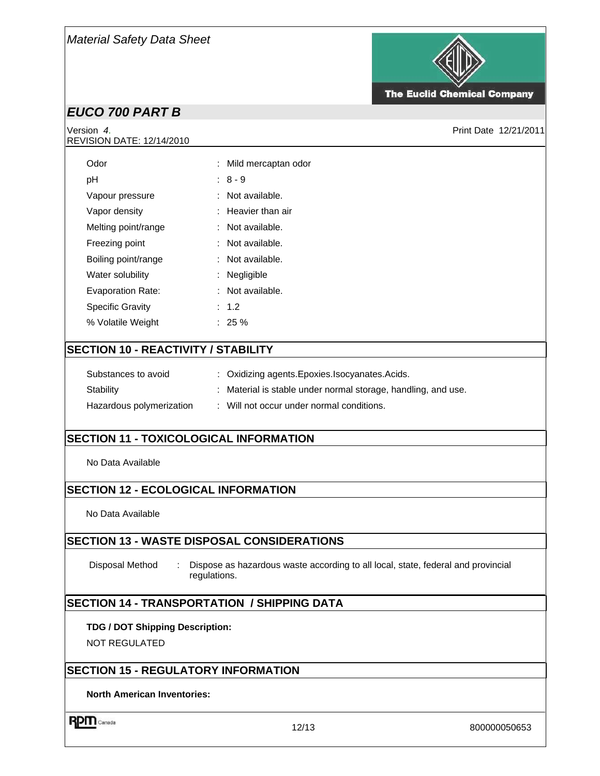

**The Euclid Chemical Company** 

# *EUCO 700 PART B*

# REVISION DATE: 12/14/2010

Version *4*. Print Date 12/21/2011

| Odor                                       |  | : Mild mercaptan odor                                       |  |  |
|--------------------------------------------|--|-------------------------------------------------------------|--|--|
| рH                                         |  | $: 8 - 9$                                                   |  |  |
| Vapour pressure                            |  | : Not available.                                            |  |  |
| Vapor density                              |  | : Heavier than air                                          |  |  |
| Melting point/range                        |  | : Not available.                                            |  |  |
| Freezing point                             |  | : Not available.                                            |  |  |
| Boiling point/range                        |  | : Not available.                                            |  |  |
| Water solubility                           |  | $:$ Negligible                                              |  |  |
| <b>Evaporation Rate:</b>                   |  | : Not available.                                            |  |  |
| <b>Specific Gravity</b>                    |  | : 1.2                                                       |  |  |
| % Volatile Weight                          |  | $: 25 \%$                                                   |  |  |
| <b>SECTION 10 - REACTIVITY / STABILITY</b> |  |                                                             |  |  |
| Substances to avoid                        |  | : Oxidizing agents. Epoxies. Isocyanates. Acids.            |  |  |
| Stability                                  |  | Material is stable under normal storage, handling, and use. |  |  |

### **SECTION 11 - TOXICOLOGICAL INFORMATION**

Hazardous polymerization : Will not occur under normal conditions.

No Data Available

### **SECTION 12 - ECOLOGICAL INFORMATION**

No Data Available

### **SECTION 13 - WASTE DISPOSAL CONSIDERATIONS**

Disposal Method : Dispose as hazardous waste according to all local, state, federal and provincial regulations.

### **SECTION 14 - TRANSPORTATION / SHIPPING DATA**

#### **TDG / DOT Shipping Description:**

NOT REGULATED

### **SECTION 15 - REGULATORY INFORMATION**

**North American Inventories:** 

**RPM** Canada

12/13 800000050653